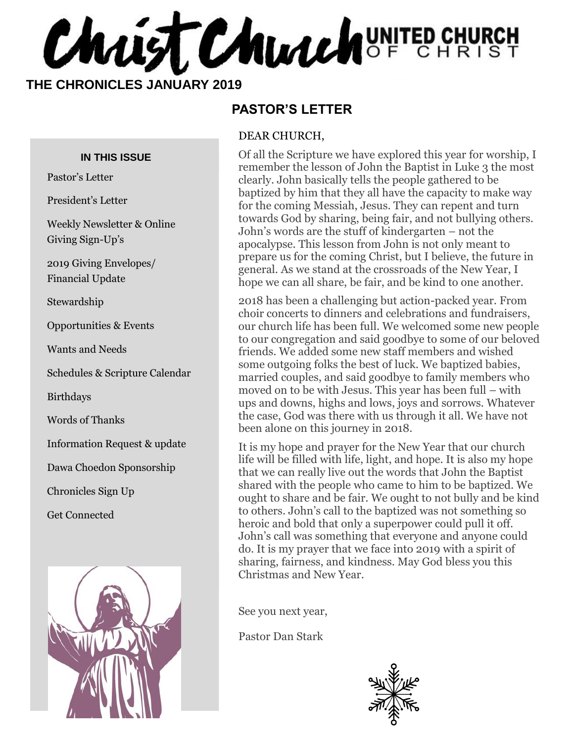**CHALLST CHUALLY** OF CHURCH

 **THE CHRONICLES JANUARY 2019**

#### **IN THIS ISSUE**

Pastor's Letter

President's Letter

Weekly Newsletter & Online Giving Sign-Up's

2019 Giving Envelopes/ Financial Update

Stewardship

Opportunities & Events

Wants and Needs

Schedules & Scripture Calendar

Birthdays

Words of Thanks

Information Request & update

Dawa Choedon Sponsorship

Chronicles Sign Up

Get Connected



#### **PASTOR'S LETTER**

#### DEAR CHURCH,

Of all the Scripture we have explored this year for worship, I remember the lesson of John the Baptist in Luke 3 the most clearly. John basically tells the people gathered to be baptized by him that they all have the capacity to make way for the coming Messiah, Jesus. They can repent and turn towards God by sharing, being fair, and not bullying others. John's words are the stuff of kindergarten – not the apocalypse. This lesson from John is not only meant to prepare us for the coming Christ, but I believe, the future in general. As we stand at the crossroads of the New Year, I hope we can all share, be fair, and be kind to one another.

2018 has been a challenging but action-packed year. From choir concerts to dinners and celebrations and fundraisers, our church life has been full. We welcomed some new people to our congregation and said goodbye to some of our beloved friends. We added some new staff members and wished some outgoing folks the best of luck. We baptized babies, married couples, and said goodbye to family members who moved on to be with Jesus. This year has been full – with ups and downs, highs and lows, joys and sorrows. Whatever the case, God was there with us through it all. We have not been alone on this journey in 2018.

It is my hope and prayer for the New Year that our church life will be filled with life, light, and hope. It is also my hope that we can really live out the words that John the Baptist shared with the people who came to him to be baptized. We ought to share and be fair. We ought to not bully and be kind to others. John's call to the baptized was not something so heroic and bold that only a superpower could pull it off. John's call was something that everyone and anyone could do. It is my prayer that we face into 2019 with a spirit of sharing, fairness, and kindness. May God bless you this Christmas and New Year.

See you next year,

Pastor Dan Stark

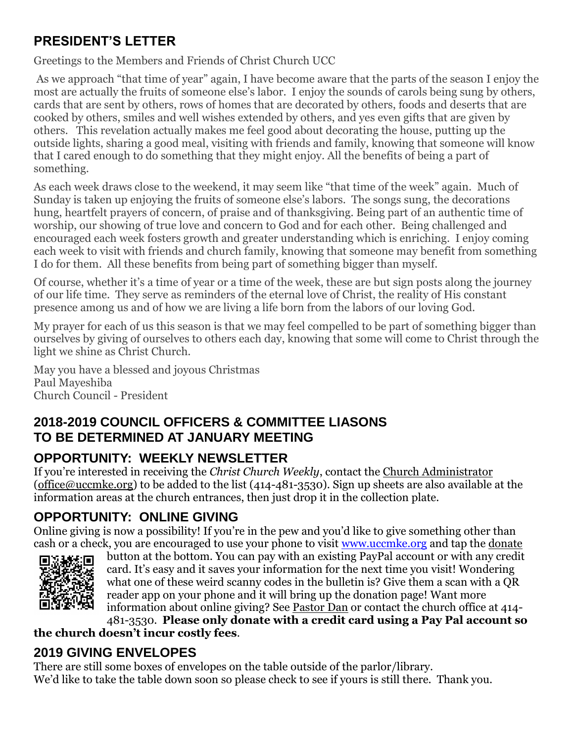## **PRESIDENT'S LETTER**

Greetings to the Members and Friends of Christ Church UCC

As we approach "that time of year" again, I have become aware that the parts of the season I enjoy the most are actually the fruits of someone else's labor. I enjoy the sounds of carols being sung by others, cards that are sent by others, rows of homes that are decorated by others, foods and deserts that are cooked by others, smiles and well wishes extended by others, and yes even gifts that are given by others. This revelation actually makes me feel good about decorating the house, putting up the outside lights, sharing a good meal, visiting with friends and family, knowing that someone will know that I cared enough to do something that they might enjoy. All the benefits of being a part of something.

As each week draws close to the weekend, it may seem like "that time of the week" again. Much of Sunday is taken up enjoying the fruits of someone else's labors. The songs sung, the decorations hung, heartfelt prayers of concern, of praise and of thanksgiving. Being part of an authentic time of worship, our showing of true love and concern to God and for each other. Being challenged and encouraged each week fosters growth and greater understanding which is enriching. I enjoy coming each week to visit with friends and church family, knowing that someone may benefit from something I do for them. All these benefits from being part of something bigger than myself.

Of course, whether it's a time of year or a time of the week, these are but sign posts along the journey of our life time. They serve as reminders of the eternal love of Christ, the reality of His constant presence among us and of how we are living a life born from the labors of our loving God.

My prayer for each of us this season is that we may feel compelled to be part of something bigger than ourselves by giving of ourselves to others each day, knowing that some will come to Christ through the light we shine as Christ Church.

May you have a blessed and joyous Christmas Paul Mayeshiba Church Council - President

## **2018-2019 COUNCIL OFFICERS & COMMITTEE LIASONS TO BE DETERMINED AT JANUARY MEETING**

# **OPPORTUNITY: WEEKLY NEWSLETTER**

If you're interested in receiving the *Christ Church Weekly*, contact the [Church Administrator](mailto:christ-church@att.net) (office@uccmke.org) to be added to the list (414-481-3530). Sign up sheets are also available at the information areas at the church entrances, then just drop it in the collection plate.

# **OPPORTUNITY: ONLINE GIVING**

Online giving is now a possibility! If you're in the pew and you'd like to give something other than cash or a check, you are encouraged to use your phone to visit [www.uccmke.org](http://www.uccmke.org/) and tap the [donate](https://www.paypal.com/cgi-bin/webscr?cmd=_s-xclick&hosted_button_id=D7W2VTZZBHZNU)



button at the bottom. You can pay with an existing PayPal account or with any credit card. It's easy and it saves your information for the next time you visit! Wondering what one of these weird scanny codes in the bulletin is? Give them a scan with a QR reader app on your phone and it will bring up the donation page! Want more information about online giving? See [Pastor Dan](mailto:dan_stark@att.net) or contact the church office at 414- 481-3530. **Please only donate with a credit card using a Pay Pal account so** 

**the church doesn't incur costly fees**.

## **2019 GIVING ENVELOPES**

There are still some boxes of envelopes on the table outside of the parlor/library. We'd like to take the table down soon so please check to see if yours is still there. Thank you.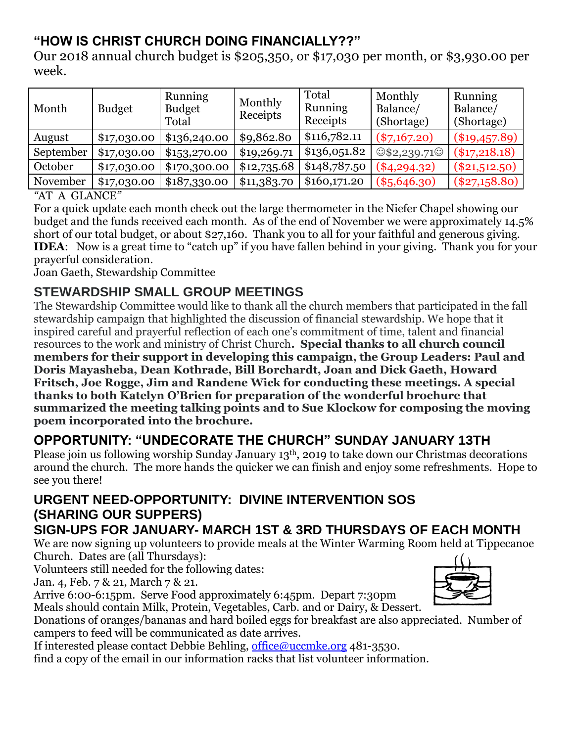## **"HOW IS CHRIST CHURCH DOING FINANCIALLY??"**

Our 2018 annual church budget is \$205,350, or \$17,030 per month, or \$3,930.00 per week.

| Month     | <b>Budget</b> | <b>Running</b><br><b>Budget</b><br>Total | Monthly<br>Receipts | Total<br>Running<br>Receipts | Monthly<br>Balance/<br>(Shortage) | <b>Running</b><br>Balance/<br>(Shortage) |
|-----------|---------------|------------------------------------------|---------------------|------------------------------|-----------------------------------|------------------------------------------|
| August    | \$17,030.00   | \$136,240.00                             | \$9,862.80          | \$116,782.11                 | $(*7,167.20)$                     | $(\$19,457.89)$                          |
| September | \$17,030.00   | \$1,5,3,270.00                           | \$19,269.71         | \$136,051.82                 | $\circ$ \$2,239.71 $\circ$        | $(\$17,218.18)$                          |
| October   | \$17,030.00   | \$170,300.00                             | \$12,735.68         | \$148,787.50                 | $(*4, 294.32)$                    | $(\$21,512.50)$                          |
| November  | \$17,030.00   | \$187,330.00                             | \$11,383.70         | \$160,171.20                 | $(*5,646.30)$                     | $(\$27,158.80)$                          |

*"*AT A GLANCE*"* 

For a quick update each month check out the large thermometer in the Niefer Chapel showing our budget and the funds received each month. As of the end of November we were approximately 14.5% short of our total budget, or about \$27,160. Thank you to all for your faithful and generous giving. **IDEA**: Now is a great time to "catch up" if you have fallen behind in your giving. Thank you for your prayerful consideration.

Joan Gaeth, Stewardship Committee

## **STEWARDSHIP SMALL GROUP MEETINGS**

The Stewardship Committee would like to thank all the church members that participated in the fall stewardship campaign that highlighted the discussion of financial stewardship. We hope that it inspired careful and prayerful reflection of each one's commitment of time, talent and financial resources to the work and ministry of Christ Church**. Special thanks to all church council members for their support in developing this campaign, the Group Leaders: Paul and Doris Mayasheba, Dean Kothrade, Bill Borchardt, Joan and Dick Gaeth, Howard Fritsch, Joe Rogge, Jim and Randene Wick for conducting these meetings. A special thanks to both Katelyn O'Brien for preparation of the wonderful brochure that summarized the meeting talking points and to Sue Klockow for composing the moving poem incorporated into the brochure.**

## **OPPORTUNITY: "UNDECORATE THE CHURCH" SUNDAY JANUARY 13TH**

Please join us following worship Sunday January 13th, 2019 to take down our Christmas decorations around the church. The more hands the quicker we can finish and enjoy some refreshments. Hope to see you there!

## **URGENT NEED-OPPORTUNITY: DIVINE INTERVENTION SOS (SHARING OUR SUPPERS)**

## **SIGN-UPS FOR JANUARY- MARCH 1ST & 3RD THURSDAYS OF EACH MONTH**

We are now signing up volunteers to provide meals at the Winter Warming Room held at Tippecanoe Church. Dates are (all Thursdays):

Volunteers still needed for the following dates:

Jan. 4, Feb. 7 & 21, March 7 & 21.

Arrive 6:00-6:15pm. Serve Food approximately 6:45pm. Depart 7:30pm Meals should contain Milk, Protein, Vegetables, Carb. and or Dairy, & Dessert.



Donations of oranges/bananas and hard boiled eggs for breakfast are also appreciated. Number of campers to feed will be communicated as date arrives.

If interested please contact Debbie Behling, [office@uccmke.org](mailto:office@uccmke.org) 481-3530.

find a copy of the email in our information racks that list volunteer information.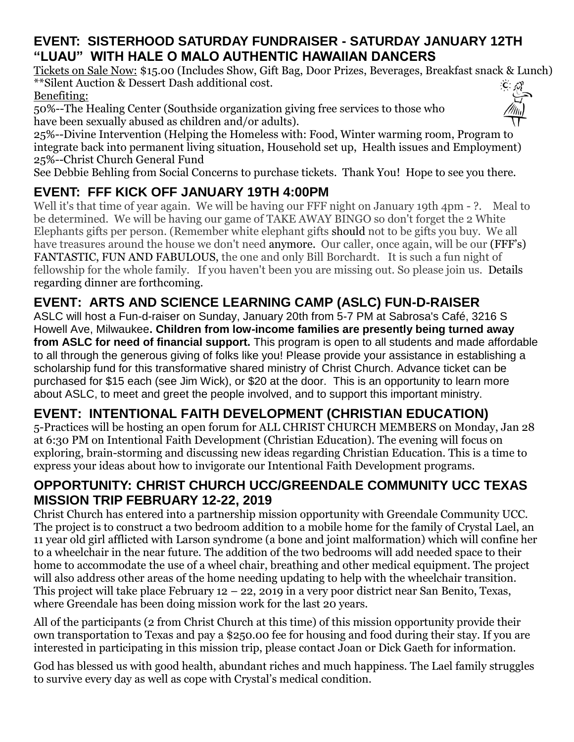## **EVENT: SISTERHOOD SATURDAY FUNDRAISER - SATURDAY JANUARY 12TH "LUAU" WITH HALE O MALO AUTHENTIC HAWAIIAN DANCERS**

Tickets on Sale Now: \$15.00 (Includes Show, Gift Bag, Door Prizes, Beverages, Breakfast snack & Lunch) \*\*Silent Auction & Dessert Dash additional cost.  $C \sim 1$ Benefiting:

50%--The Healing Center (Southside organization giving free services to those who have been sexually abused as children and/or adults).



25%--Divine Intervention (Helping the Homeless with: Food, Winter warming room, Program to integrate back into permanent living situation, Household set up, Health issues and Employment) 25%--Christ Church General Fund

See Debbie Behling from Social Concerns to purchase tickets. Thank You! Hope to see you there.

# **EVENT: FFF KICK OFF JANUARY 19TH 4:00PM**

Well it's that time of year again. We will be having our FFF night on January 19th 4pm - ?. Meal to be determined. We will be having our game of TAKE AWAY BINGO so don't forget the 2 White Elephants gifts per person. (Remember white elephant gifts should not to be gifts you buy. We all have treasures around the house we don't need anymore. Our caller, once again, will be our (FFF's) FANTASTIC, FUN AND FABULOUS, the one and only Bill Borchardt. It is such a fun night of fellowship for the whole family. If you haven't been you are missing out. So please join us. Details regarding dinner are forthcoming.

## **EVENT: ARTS AND SCIENCE LEARNING CAMP (ASLC) FUN-D-RAISER**

ASLC will host a Fun-d-raiser on Sunday, January 20th from 5-7 PM at Sabrosa's Café, 3216 S Howell Ave, Milwaukee**. Children from low-income families are presently being turned away from ASLC for need of financial support.** This program is open to all students and made affordable to all through the generous giving of folks like you! Please provide your assistance in establishing a scholarship fund for this transformative shared ministry of Christ Church. Advance ticket can be purchased for \$15 each (see Jim Wick), or \$20 at the door. This is an opportunity to learn more about ASLC, to meet and greet the people involved, and to support this important ministry.

## **EVENT: INTENTIONAL FAITH DEVELOPMENT (CHRISTIAN EDUCATION)**

5-Practices will be hosting an open forum for ALL CHRIST CHURCH MEMBERS on Monday, Jan 28 at 6:30 PM on Intentional Faith Development (Christian Education). The evening will focus on exploring, brain-storming and discussing new ideas regarding Christian Education. This is a time to express your ideas about how to invigorate our Intentional Faith Development programs.

## **OPPORTUNITY: CHRIST CHURCH UCC/GREENDALE COMMUNITY UCC TEXAS MISSION TRIP FEBRUARY 12-22, 2019**

Christ Church has entered into a partnership mission opportunity with Greendale Community UCC. The project is to construct a two bedroom addition to a mobile home for the family of Crystal Lael, an 11 year old girl afflicted with Larson syndrome (a bone and joint malformation) which will confine her to a wheelchair in the near future. The addition of the two bedrooms will add needed space to their home to accommodate the use of a wheel chair, breathing and other medical equipment. The project will also address other areas of the home needing updating to help with the wheelchair transition. This project will take place February  $12 - 22$ , 2019 in a very poor district near San Benito, Texas, where Greendale has been doing mission work for the last 20 years.

All of the participants (2 from Christ Church at this time) of this mission opportunity provide their own transportation to Texas and pay a \$250.00 fee for housing and food during their stay. If you are interested in participating in this mission trip, please contact Joan or Dick Gaeth for information.

God has blessed us with good health, abundant riches and much happiness. The Lael family struggles to survive every day as well as cope with Crystal's medical condition.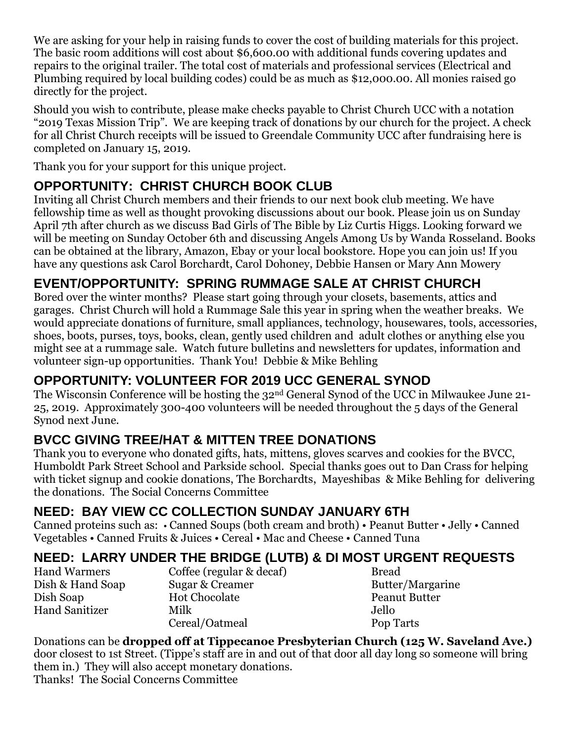We are asking for your help in raising funds to cover the cost of building materials for this project. The basic room additions will cost about \$6,600.00 with additional funds covering updates and repairs to the original trailer. The total cost of materials and professional services (Electrical and Plumbing required by local building codes) could be as much as \$12,000.00. All monies raised go directly for the project.

Should you wish to contribute, please make checks payable to Christ Church UCC with a notation "2019 Texas Mission Trip". We are keeping track of donations by our church for the project. A check for all Christ Church receipts will be issued to Greendale Community UCC after fundraising here is completed on January 15, 2019.

Thank you for your support for this unique project.

## **OPPORTUNITY: CHRIST CHURCH BOOK CLUB**

Inviting all Christ Church members and their friends to our next book club meeting. We have fellowship time as well as thought provoking discussions about our book. Please join us on Sunday April 7th after church as we discuss Bad Girls of The Bible by Liz Curtis Higgs. Looking forward we will be meeting on Sunday October 6th and discussing Angels Among Us by Wanda Rosseland. Books can be obtained at the library, Amazon, Ebay or your local bookstore. Hope you can join us! If you have any questions ask Carol Borchardt, Carol Dohoney, Debbie Hansen or Mary Ann Mowery

## **EVENT/OPPORTUNITY: SPRING RUMMAGE SALE AT CHRIST CHURCH**

Bored over the winter months? Please start going through your closets, basements, attics and garages. Christ Church will hold a Rummage Sale this year in spring when the weather breaks. We would appreciate donations of furniture, small appliances, technology, housewares, tools, accessories, shoes, boots, purses, toys, books, clean, gently used children and adult clothes or anything else you might see at a rummage sale. Watch future bulletins and newsletters for updates, information and volunteer sign-up opportunities. Thank You! Debbie & Mike Behling

## **OPPORTUNITY: VOLUNTEER FOR 2019 UCC GENERAL SYNOD**

The Wisconsin Conference will be hosting the 32nd General Synod of the UCC in Milwaukee June 21- 25, 2019. Approximately 300-400 volunteers will be needed throughout the 5 days of the General Synod next June.

## **BVCC GIVING TREE/HAT & MITTEN TREE DONATIONS**

Thank you to everyone who donated gifts, hats, mittens, gloves scarves and cookies for the BVCC, Humboldt Park Street School and Parkside school. Special thanks goes out to Dan Crass for helping with ticket signup and cookie donations, The Borchardts, Mayeshibas & Mike Behling for delivering the donations. The Social Concerns Committee

## **NEED: BAY VIEW CC COLLECTION SUNDAY JANUARY 6TH**

Canned proteins such as: • Canned Soups (both cream and broth) • Peanut Butter • Jelly • Canned Vegetables • Canned Fruits & Juices • Cereal • Mac and Cheese • Canned Tuna

## **NEED: LARRY UNDER THE BRIDGE (LUTB) & DI MOST URGENT REQUESTS**

Hand Warmers Coffee (regular & decaf) Bread

Dish & Hand Soap Sugar & Creamer Butter/Margarine Dish Soap Hot Chocolate Peanut Butter Hand Sanitizer Milk Jello Cereal/Oatmeal Pop Tarts

Donations can be **dropped off at Tippecanoe Presbyterian Church (125 W. Saveland Ave.)** door closest to 1st Street. (Tippe's staff are in and out of that door all day long so someone will bring them in.) They will also accept monetary donations. Thanks! The Social Concerns Committee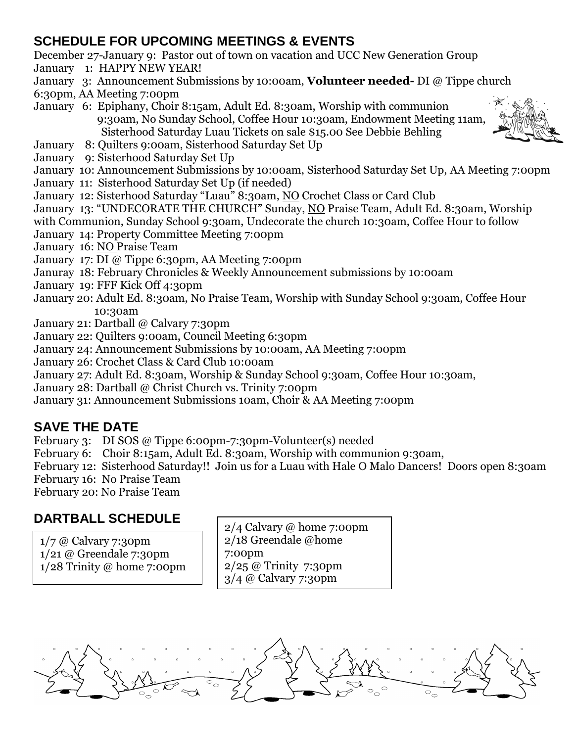#### **SCHEDULE FOR UPCOMING MEETINGS & EVENTS**

December 27-January 9: Pastor out of town on vacation and UCC New Generation Group

- January 1: HAPPY NEW YEAR!
- January 3: Announcement Submissions by 10:00am, **Volunteer needed-** DI @ Tippe church
- 6:30pm, AA Meeting 7:00pm
- January 6: Epiphany, Choir 8:15am, Adult Ed. 8:30am, Worship with communion 9:30am, No Sunday School, Coffee Hour 10:30am, Endowment Meeting 11am, Sisterhood Saturday Luau Tickets on sale \$15.00 See Debbie Behling
- 
- January 8: Quilters 9:00am, Sisterhood Saturday Set Up
- January 9: Sisterhood Saturday Set Up

January 10: Announcement Submissions by 10:00am, Sisterhood Saturday Set Up, AA Meeting 7:00pm

- January 11: Sisterhood Saturday Set Up (if needed)
- January 12: Sisterhood Saturday "Luau" 8:30am, NO Crochet Class or Card Club

January 13: "UNDECORATE THE CHURCH" Sunday, NO Praise Team, Adult Ed. 8:30am, Worship

with Communion, Sunday School 9:30am, Undecorate the church 10:30am, Coffee Hour to follow

- January 14: Property Committee Meeting 7:00pm
- January 16: NO Praise Team
- January 17: DI @ Tippe 6:30pm, AA Meeting 7:00pm
- Januray 18: February Chronicles & Weekly Announcement submissions by 10:00am
- January 19: FFF Kick Off 4:30pm
- January 20: Adult Ed. 8:30am, No Praise Team, Worship with Sunday School 9:30am, Coffee Hour 10:30am
- January 21: Dartball @ Calvary 7:30pm
- January 22: Quilters 9:00am, Council Meeting 6:30pm
- January 24: Announcement Submissions by 10:00am, AA Meeting 7:00pm
- January 26: Crochet Class & Card Club 10:00am
- January 27: Adult Ed. 8:30am, Worship & Sunday School 9:30am, Coffee Hour 10:30am,
- January 28: Dartball @ Christ Church vs. Trinity 7:00pm
- January 31: Announcement Submissions 10am, Choir & AA Meeting 7:00pm

## **SAVE THE DATE**

- February 3: DI SOS @ Tippe 6:00pm-7:30pm-Volunteer(s) needed
- February 6: Choir 8:15am, Adult Ed. 8:30am, Worship with communion 9:30am,
- February 12: Sisterhood Saturday!! Join us for a Luau with Hale O Malo Dancers! Doors open 8:30am
- February 16: No Praise Team
- February 20: No Praise Team

# **DARTBALL SCHEDULE** 2/4 Calvary @ home 7:00pm

1/7 @ Calvary 7:30pm 1/21 @ Greendale 7:30pm 1/28 Trinity @ home 7:00pm 2/18 Greendale @home 7:00pm 2/25 @ Trinity 7:30pm 3/4 @ Calvary 7:30pm

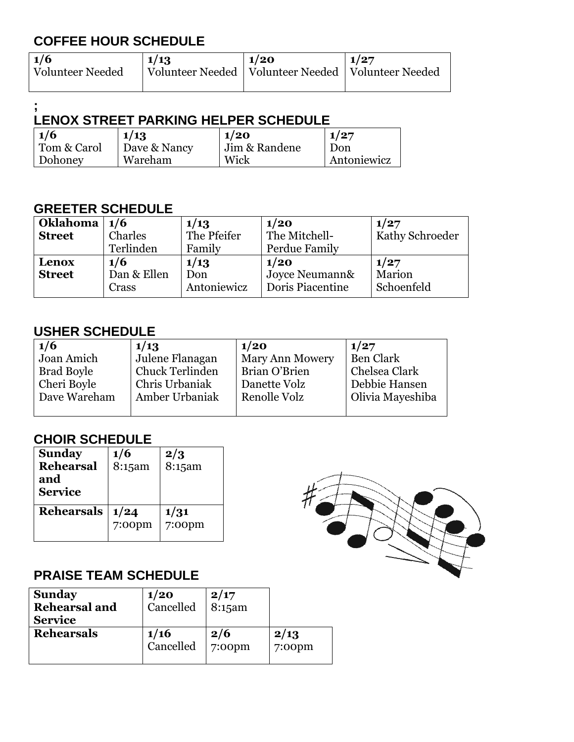## **COFFEE HOUR SCHEDULE**

| 1/6<br><b>Volunteer Needed</b> | 1/13 | $\vert$ 1/20<br>Volunteer Needed   Volunteer Needed   Volunteer Needed | 1/27 |
|--------------------------------|------|------------------------------------------------------------------------|------|
|                                |      |                                                                        |      |

#### **; LENOX STREET PARKING HELPER SCHEDULE**

| 1/6         | 1/13         | 1/20          | 1/27        |
|-------------|--------------|---------------|-------------|
| Tom & Carol | Dave & Nancy | Jim & Randene | Don         |
| Dohoney     | Wareham      | Wick          | Antoniewicz |

#### **GREETER SCHEDULE**

| Oklahoma      | 1/6         | 1/13        | 1/20             | 1/27            |
|---------------|-------------|-------------|------------------|-----------------|
| <b>Street</b> | Charles     | The Pfeifer | The Mitchell-    | Kathy Schroeder |
|               | Terlinden   | Family      | Perdue Family    |                 |
| Lenox         | 1/6         | 1/13        | 1/20             | 1/27            |
| <b>Street</b> | Dan & Ellen | Don         | Joyce Neumann&   | Marion          |
|               | Crass       | Antoniewicz | Doris Piacentine | Schoenfeld      |

#### **USHER SCHEDULE**

| 1/6          | 1/13            | 1/20                   | 1/27             |
|--------------|-----------------|------------------------|------------------|
| Joan Amich   | Julene Flanagan | <b>Mary Ann Mowery</b> | <b>Ben Clark</b> |
| Brad Boyle   | Chuck Terlinden | Brian O'Brien          | Chelsea Clark    |
| Cheri Boyle  | Chris Urbaniak  | Danette Volz           | Debbie Hansen    |
| Dave Wareham | Amber Urbaniak  | Renolle Volz           | Olivia Mayeshiba |
|              |                 |                        |                  |

#### **CHOIR SCHEDULE**

| <b>Sunday</b><br><b>Rehearsal</b><br>and<br><b>Service</b> | 1/6<br>8:15am     | 2/3<br>8:15am     |
|------------------------------------------------------------|-------------------|-------------------|
| <b>Rehearsals</b>                                          | 1/24<br>$7:00$ pm | 1/31<br>$7:00$ pm |

#### **PRAISE TEAM SCHEDULE**

| <b>Sunday</b><br><b>Rehearsal and</b><br><b>Service</b> | 1/20<br>Cancelled | 2/17<br>$8:15$ am |           |
|---------------------------------------------------------|-------------------|-------------------|-----------|
| <b>Rehearsals</b>                                       | 1/16              | 2/6               | 2/13      |
|                                                         | Cancelled         | $7:00$ pm         | $7:00$ pm |

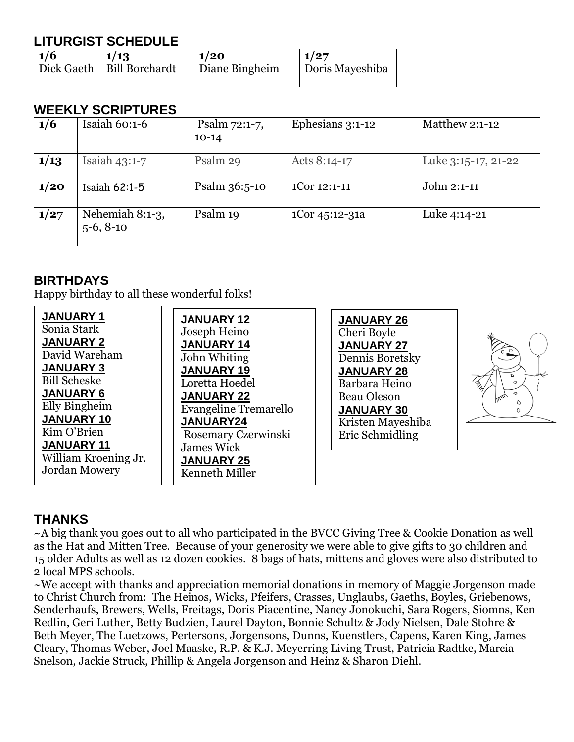## **LITURGIST SCHEDULE**

| $\vert$ 1/6 | 1/13                        | $\vert 1/20 \vert$ | $\vert 1/27 \vert$ |
|-------------|-----------------------------|--------------------|--------------------|
|             | Dick Gaeth   Bill Borchardt | Diane Bingheim     | Doris Mayeshiba    |
|             |                             |                    |                    |

#### **WEEKLY SCRIPTURES**

| 1/6  | Isaiah $60:1-6$                | Psalm 72:1-7,<br>$10-14$ | Ephesians 3:1-12 | Matthew 2:1-12      |
|------|--------------------------------|--------------------------|------------------|---------------------|
| 1/13 | Isaiah $43:1-7$                | Psalm 29                 | Acts 8:14-17     | Luke 3:15-17, 21-22 |
| 1/20 | Isaiah $62:1-5$                | Psalm 36:5-10            | 1Cor 12:1-11     | John 2:1-11         |
| 1/27 | Nehemiah 8:1-3,<br>$5-6, 8-10$ | Psalm 19                 | 1Cor 45:12-31a   | Luke 4:14-21        |

#### **BIRTHDAYS**

Happy birthday to all these wonderful folks!



#### **THANKS**

~A big thank you goes out to all who participated in the BVCC Giving Tree & Cookie Donation as well as the Hat and Mitten Tree. Because of your generosity we were able to give gifts to 30 children and 15 older Adults as well as 12 dozen cookies. 8 bags of hats, mittens and gloves were also distributed to 2 local MPS schools.

 $\sim$ We accept with thanks and appreciation memorial donations in memory of Maggie Jorgenson made to Christ Church from: The Heinos, Wicks, Pfeifers, Crasses, Unglaubs, Gaeths, Boyles, Griebenows, Senderhaufs, Brewers, Wells, Freitags, Doris Piacentine, Nancy Jonokuchi, Sara Rogers, Siomns, Ken Redlin, Geri Luther, Betty Budzien, Laurel Dayton, Bonnie Schultz & Jody Nielsen, Dale Stohre & Beth Meyer, The Luetzows, Pertersons, Jorgensons, Dunns, Kuenstlers, Capens, Karen King, James Cleary, Thomas Weber, Joel Maaske, R.P. & K.J. Meyerring Living Trust, Patricia Radtke, Marcia Snelson, Jackie Struck, Phillip & Angela Jorgenson and Heinz & Sharon Diehl.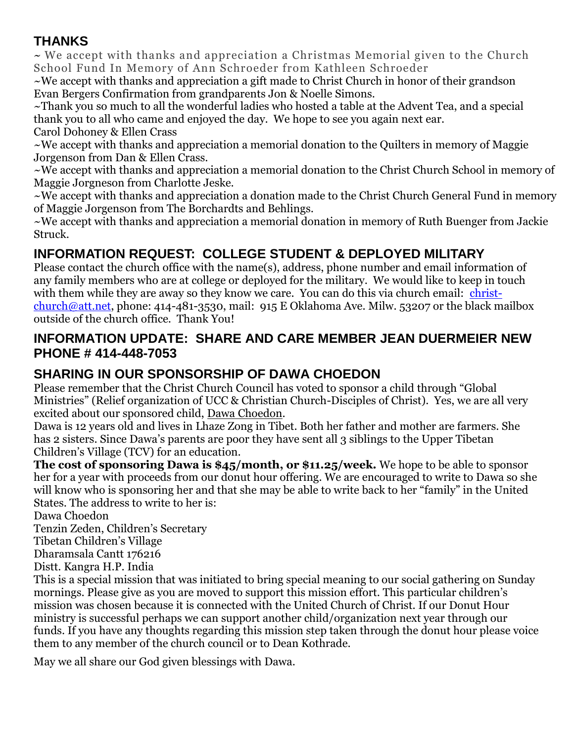## **THANKS**

~ We accept with thanks and appreciation a Christmas Memorial given to the Church School Fund In Memory of Ann Schroeder from Kathleen Schroeder

~We accept with thanks and appreciation a gift made to Christ Church in honor of their grandson Evan Bergers Confirmation from grandparents Jon & Noelle Simons.

~Thank you so much to all the wonderful ladies who hosted a table at the Advent Tea, and a special thank you to all who came and enjoyed the day. We hope to see you again next ear. Carol Dohoney & Ellen Crass

~We accept with thanks and appreciation a memorial donation to the Quilters in memory of Maggie Jorgenson from Dan & Ellen Crass.

~We accept with thanks and appreciation a memorial donation to the Christ Church School in memory of Maggie Jorgneson from Charlotte Jeske.

~We accept with thanks and appreciation a donation made to the Christ Church General Fund in memory of Maggie Jorgenson from The Borchardts and Behlings.

~We accept with thanks and appreciation a memorial donation in memory of Ruth Buenger from Jackie Struck.

## **INFORMATION REQUEST: COLLEGE STUDENT & DEPLOYED MILITARY**

Please contact the church office with the name(s), address, phone number and email information of any family members who are at college or deployed for the military. We would like to keep in touch with them while they are away so they know we care. You can do this via church email: [christ](mailto:christ-church@att.net)[church@att.net,](mailto:christ-church@att.net) phone: 414-481-3530, mail: 915 E Oklahoma Ave. Milw. 53207 or the black mailbox outside of the church office. Thank You!

#### **INFORMATION UPDATE: SHARE AND CARE MEMBER JEAN DUERMEIER NEW PHONE # 414-448-7053**

## **SHARING IN OUR SPONSORSHIP OF DAWA CHOEDON**

Please remember that the Christ Church Council has voted to sponsor a child through "Global Ministries" (Relief organization of UCC & Christian Church-Disciples of Christ). Yes, we are all very excited about our sponsored child, Dawa Choedon.

Dawa is 12 years old and lives in Lhaze Zong in Tibet. Both her father and mother are farmers. She has 2 sisters. Since Dawa's parents are poor they have sent all 3 siblings to the Upper Tibetan Children's Village (TCV) for an education.

**The cost of sponsoring Dawa is \$45/month, or \$11.25/week.** We hope to be able to sponsor her for a year with proceeds from our donut hour offering. We are encouraged to write to Dawa so she will know who is sponsoring her and that she may be able to write back to her "family" in the United States. The address to write to her is:

Dawa Choedon

Tenzin Zeden, Children's Secretary

Tibetan Children's Village

Dharamsala Cantt 176216

Distt. Kangra H.P. India

This is a special mission that was initiated to bring special meaning to our social gathering on Sunday mornings. Please give as you are moved to support this mission effort. This particular children's mission was chosen because it is connected with the United Church of Christ. If our Donut Hour ministry is successful perhaps we can support another child/organization next year through our funds. If you have any thoughts regarding this mission step taken through the donut hour please voice them to any member of the church council or to Dean Kothrade.

May we all share our God given blessings with Dawa.